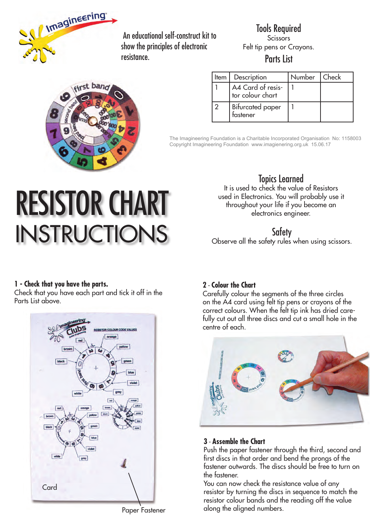

 An educational self-construct kit to show the principles of electronic resistance.

Tools Required **Scissors** Felt tip pens or Crayons. Parts List

|   | irst band |
|---|-----------|
|   |           |
| G |           |
|   |           |
|   |           |
|   |           |
|   |           |

| Item | Description                           | Number   Check |  |
|------|---------------------------------------|----------------|--|
|      | A4 Card of resis-<br>tor colour chart |                |  |
|      | <b>Bifurcated paper</b><br>tastener   |                |  |

The Imagineering Foundation is a Charitable Incorporated Organisation No: 1158003 Copyright Imagineering Foundation www.imagienering.org.uk 15.06.17

# RESISTOR CHART INSTRUCTIONS

## Topics Learned

It is used to check the value of Resistors used in Electronics. You will probably use it throughout your life if you become an electronics engineer.

### **Safety**

Observe all the safety rules when using scissors.

#### **1 - Check that you have the parts.**

Check that you have each part and tick it off in the Parts List above.



**2** - **Colour the Chart**

Carefully colour the segments of the three circles on the A4 card using felt tip pens or crayons of the correct colours. When the felt tip ink has dried carefully cut out all three discs and cut a small hole in the centre of each.



#### **3** - **Assemble the Chart**

Push the paper fastener through the third, second and first discs in that order and bend the prongs of the fastener outwards. The discs should be free to turn on the fastener.

You can now check the resistance value of any resistor by turning the discs in sequence to match the resistor colour bands and the reading off the value along the aligned numbers.

Paper Fastener